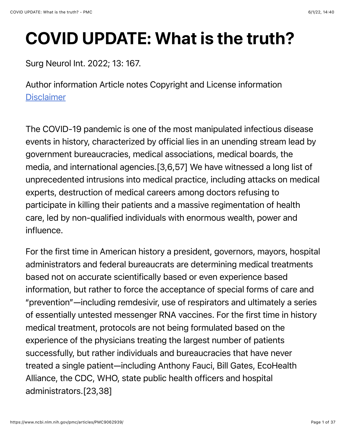# COVID UPDATE: What is the truth?

#### Surg Neurol Int. 2022; 13: 167.

Author information Article notes Copyright and License information **[Disclaimer](https://www.ncbi.nlm.nih.gov/pmc/about/disclaimer/)** 

The COVID-19 pandemic is one of the most manipulated infectious disease events in history, characterized by official lies in an unending stream lead by government bureaucracies, medical associations, medical boards, the media, and international agencies.[3,6,57] We have witnessed a long list of unprecedented intrusions into medical practice, including attacks on medical experts, destruction of medical careers among doctors refusing to participate in killing their patients and a massive regimentation of health care, led by non-qualified individuals with enormous wealth, power and influence.

For the first time in American history a president, governors, mayors, hospital administrators and federal bureaucrats are determining medical treatments based not on accurate scientifically based or even experience based information, but rather to force the acceptance of special forms of care and "prevention"—including remdesivir, use of respirators and ultimately a series of essentially untested messenger RNA vaccines. For the first time in history medical treatment, protocols are not being formulated based on the experience of the physicians treating the largest number of patients successfully, but rather individuals and bureaucracies that have never treated a single patient—including Anthony Fauci, Bill Gates, EcoHealth Alliance, the CDC, WHO, state public health officers and hospital administrators.[23,38]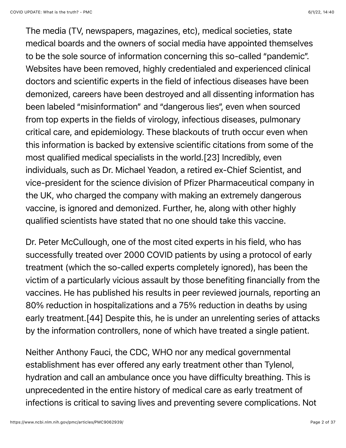The media (TV, newspapers, magazines, etc), medical societies, state medical boards and the owners of social media have appointed themselves to be the sole source of information concerning this so-called "pandemic". Websites have been removed, highly credentialed and experienced clinical doctors and scientific experts in the field of infectious diseases have been demonized, careers have been destroyed and all dissenting information has been labeled "misinformation" and "dangerous lies", even when sourced from top experts in the fields of virology, infectious diseases, pulmonary critical care, and epidemiology. These blackouts of truth occur even when this information is backed by extensive scientific citations from some of the most qualified medical specialists in the world.[23] Incredibly, even individuals, such as Dr. Michael Yeadon, a retired ex-Chief Scientist, and vice-president for the science division of Pfizer Pharmaceutical company in the UK, who charged the company with making an extremely dangerous vaccine, is ignored and demonized. Further, he, along with other highly qualified scientists have stated that no one should take this vaccine.

Dr. Peter McCullough, one of the most cited experts in his field, who has successfully treated over 2000 COVID patients by using a protocol of early treatment (which the so-called experts completely ignored), has been the victim of a particularly vicious assault by those benefiting financially from the vaccines. He has published his results in peer reviewed journals, reporting an 80% reduction in hospitalizations and a 75% reduction in deaths by using early treatment.[44] Despite this, he is under an unrelenting series of attacks by the information controllers, none of which have treated a single patient.

Neither Anthony Fauci, the CDC, WHO nor any medical governmental establishment has ever offered any early treatment other than Tylenol, hydration and call an ambulance once you have difficulty breathing. This is unprecedented in the entire history of medical care as early treatment of infections is critical to saving lives and preventing severe complications. Not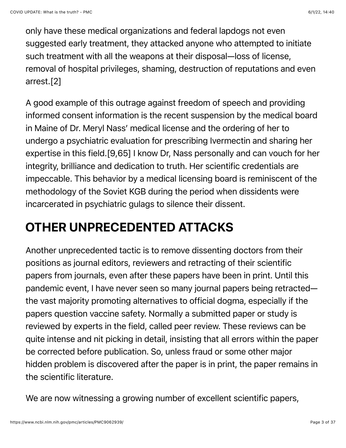only have these medical organizations and federal lapdogs not even suggested early treatment, they attacked anyone who attempted to initiate such treatment with all the weapons at their disposal—loss of license, removal of hospital privileges, shaming, destruction of reputations and even arrest.[2]

A good example of this outrage against freedom of speech and providing informed consent information is the recent suspension by the medical board in Maine of Dr. Meryl Nass' medical license and the ordering of her to undergo a psychiatric evaluation for prescribing Ivermectin and sharing her expertise in this field.[9,65] I know Dr, Nass personally and can vouch for her integrity, brilliance and dedication to truth. Her scientific credentials are impeccable. This behavior by a medical licensing board is reminiscent of the methodology of the Soviet KGB during the period when dissidents were incarcerated in psychiatric gulags to silence their dissent.

## OTHER UNPRECEDENTED ATTACKS

Another unprecedented tactic is to remove dissenting doctors from their positions as journal editors, reviewers and retracting of their scientific papers from journals, even after these papers have been in print. Until this pandemic event, I have never seen so many journal papers being retracted the vast majority promoting alternatives to official dogma, especially if the papers question vaccine safety. Normally a submitted paper or study is reviewed by experts in the field, called peer review. These reviews can be quite intense and nit picking in detail, insisting that all errors within the paper be corrected before publication. So, unless fraud or some other major hidden problem is discovered after the paper is in print, the paper remains in the scientific literature.

We are now witnessing a growing number of excellent scientific papers,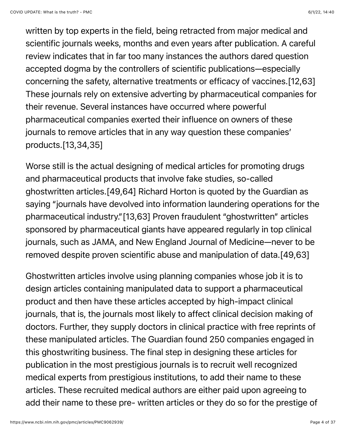written by top experts in the field, being retracted from major medical and scientific journals weeks, months and even years after publication. A careful review indicates that in far too many instances the authors dared question accepted dogma by the controllers of scientific publications—especially concerning the safety, alternative treatments or efficacy of vaccines.[12,63] These journals rely on extensive adverting by pharmaceutical companies for their revenue. Several instances have occurred where powerful pharmaceutical companies exerted their influence on owners of these journals to remove articles that in any way question these companies' products.[13,34,35]

Worse still is the actual designing of medical articles for promoting drugs and pharmaceutical products that involve fake studies, so-called ghostwritten articles.[49,64] Richard Horton is quoted by the Guardian as saying "journals have devolved into information laundering operations for the pharmaceutical industry."[13,63] Proven fraudulent "ghostwritten" articles sponsored by pharmaceutical giants have appeared regularly in top clinical journals, such as JAMA, and New England Journal of Medicine—never to be removed despite proven scientific abuse and manipulation of data.[49,63]

Ghostwritten articles involve using planning companies whose job it is to design articles containing manipulated data to support a pharmaceutical product and then have these articles accepted by high-impact clinical journals, that is, the journals most likely to affect clinical decision making of doctors. Further, they supply doctors in clinical practice with free reprints of these manipulated articles. The Guardian found 250 companies engaged in this ghostwriting business. The final step in designing these articles for publication in the most prestigious journals is to recruit well recognized medical experts from prestigious institutions, to add their name to these articles. These recruited medical authors are either paid upon agreeing to add their name to these pre- written articles or they do so for the prestige of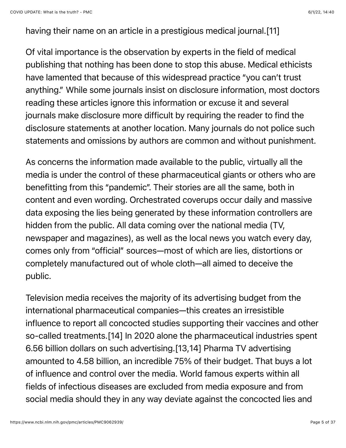having their name on an article in a prestigious medical journal.[11]

Of vital importance is the observation by experts in the field of medical publishing that nothing has been done to stop this abuse. Medical ethicists have lamented that because of this widespread practice "you can't trust anything." While some journals insist on disclosure information, most doctors reading these articles ignore this information or excuse it and several journals make disclosure more difficult by requiring the reader to find the disclosure statements at another location. Many journals do not police such statements and omissions by authors are common and without punishment.

As concerns the information made available to the public, virtually all the media is under the control of these pharmaceutical giants or others who are benefitting from this "pandemic". Their stories are all the same, both in content and even wording. Orchestrated coverups occur daily and massive data exposing the lies being generated by these information controllers are hidden from the public. All data coming over the national media (TV, newspaper and magazines), as well as the local news you watch every day, comes only from "official" sources—most of which are lies, distortions or completely manufactured out of whole cloth—all aimed to deceive the public.

Television media receives the majority of its advertising budget from the international pharmaceutical companies—this creates an irresistible influence to report all concocted studies supporting their vaccines and other so-called treatments.[14] In 2020 alone the pharmaceutical industries spent 6.56 billion dollars on such advertising.[13,14] Pharma TV advertising amounted to 4.58 billion, an incredible 75% of their budget. That buys a lot of influence and control over the media. World famous experts within all fields of infectious diseases are excluded from media exposure and from social media should they in any way deviate against the concocted lies and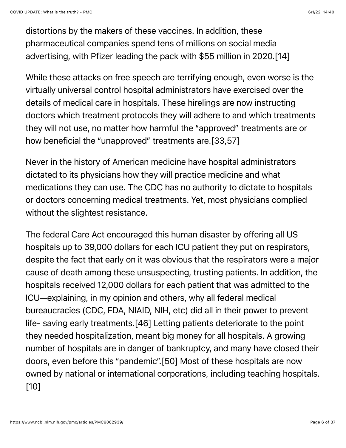distortions by the makers of these vaccines. In addition, these pharmaceutical companies spend tens of millions on social media advertising, with Pfizer leading the pack with \$55 million in 2020.[14]

While these attacks on free speech are terrifying enough, even worse is the virtually universal control hospital administrators have exercised over the details of medical care in hospitals. These hirelings are now instructing doctors which treatment protocols they will adhere to and which treatments they will not use, no matter how harmful the "approved" treatments are or how beneficial the "unapproved" treatments are.[33,57]

Never in the history of American medicine have hospital administrators dictated to its physicians how they will practice medicine and what medications they can use. The CDC has no authority to dictate to hospitals or doctors concerning medical treatments. Yet, most physicians complied without the slightest resistance.

The federal Care Act encouraged this human disaster by offering all US hospitals up to 39,000 dollars for each ICU patient they put on respirators, despite the fact that early on it was obvious that the respirators were a major cause of death among these unsuspecting, trusting patients. In addition, the hospitals received 12,000 dollars for each patient that was admitted to the ICU—explaining, in my opinion and others, why all federal medical bureaucracies (CDC, FDA, NIAID, NIH, etc) did all in their power to prevent life- saving early treatments.[46] Letting patients deteriorate to the point they needed hospitalization, meant big money for all hospitals. A growing number of hospitals are in danger of bankruptcy, and many have closed their doors, even before this "pandemic".[50] Most of these hospitals are now owned by national or international corporations, including teaching hospitals. [10]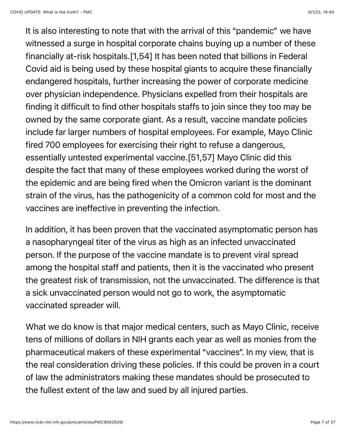It is also interesting to note that with the arrival of this "pandemic" we have witnessed a surge in hospital corporate chains buying up a number of these financially at-risk hospitals.[1,54] It has been noted that billions in Federal Covid aid is being used by these hospital giants to acquire these financially endangered hospitals, further increasing the power of corporate medicine over physician independence. Physicians expelled from their hospitals are finding it difficult to find other hospitals staffs to join since they too may be owned by the same corporate giant. As a result, vaccine mandate policies include far larger numbers of hospital employees. For example, Mayo Clinic fired 700 employees for exercising their right to refuse a dangerous, essentially untested experimental vaccine.[51,57] Mayo Clinic did this despite the fact that many of these employees worked during the worst of the epidemic and are being fired when the Omicron variant is the dominant strain of the virus, has the pathogenicity of a common cold for most and the vaccines are ineffective in preventing the infection.

In addition, it has been proven that the vaccinated asymptomatic person has a nasopharyngeal titer of the virus as high as an infected unvaccinated person. If the purpose of the vaccine mandate is to prevent viral spread among the hospital staff and patients, then it is the vaccinated who present the greatest risk of transmission, not the unvaccinated. The difference is that a sick unvaccinated person would not go to work, the asymptomatic vaccinated spreader will.

What we do know is that major medical centers, such as Mayo Clinic, receive tens of millions of dollars in NIH grants each year as well as monies from the pharmaceutical makers of these experimental "vaccines". In my view, that is the real consideration driving these policies. If this could be proven in a court of law the administrators making these mandates should be prosecuted to the fullest extent of the law and sued by all injured parties.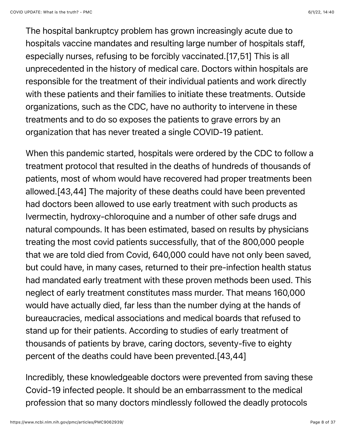The hospital bankruptcy problem has grown increasingly acute due to hospitals vaccine mandates and resulting large number of hospitals staff, especially nurses, refusing to be forcibly vaccinated.[17,51] This is all unprecedented in the history of medical care. Doctors within hospitals are responsible for the treatment of their individual patients and work directly with these patients and their families to initiate these treatments. Outside organizations, such as the CDC, have no authority to intervene in these treatments and to do so exposes the patients to grave errors by an organization that has never treated a single COVID-19 patient.

When this pandemic started, hospitals were ordered by the CDC to follow a treatment protocol that resulted in the deaths of hundreds of thousands of patients, most of whom would have recovered had proper treatments been allowed.[43,44] The majority of these deaths could have been prevented had doctors been allowed to use early treatment with such products as Ivermectin, hydroxy-chloroquine and a number of other safe drugs and natural compounds. It has been estimated, based on results by physicians treating the most covid patients successfully, that of the 800,000 people that we are told died from Covid, 640,000 could have not only been saved, but could have, in many cases, returned to their pre-infection health status had mandated early treatment with these proven methods been used. This neglect of early treatment constitutes mass murder. That means 160,000 would have actually died, far less than the number dying at the hands of bureaucracies, medical associations and medical boards that refused to stand up for their patients. According to studies of early treatment of thousands of patients by brave, caring doctors, seventy-five to eighty percent of the deaths could have been prevented.[43,44]

Incredibly, these knowledgeable doctors were prevented from saving these Covid-19 infected people. It should be an embarrassment to the medical profession that so many doctors mindlessly followed the deadly protocols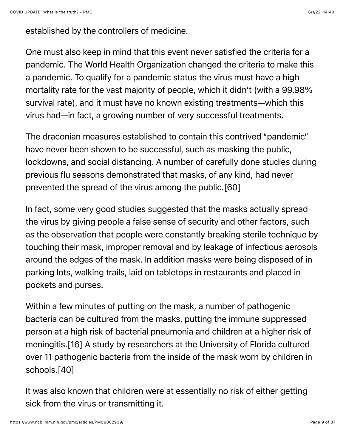established by the controllers of medicine.

One must also keep in mind that this event never satisfied the criteria for a pandemic. The World Health Organization changed the criteria to make this a pandemic. To qualify for a pandemic status the virus must have a high mortality rate for the vast majority of people, which it didn't (with a 99.98% survival rate), and it must have no known existing treatments—which this virus had—in fact, a growing number of very successful treatments.

The draconian measures established to contain this contrived "pandemic" have never been shown to be successful, such as masking the public, lockdowns, and social distancing. A number of carefully done studies during previous flu seasons demonstrated that masks, of any kind, had never prevented the spread of the virus among the public.[60]

In fact, some very good studies suggested that the masks actually spread the virus by giving people a false sense of security and other factors, such as the observation that people were constantly breaking sterile technique by touching their mask, improper removal and by leakage of infectious aerosols around the edges of the mask. In addition masks were being disposed of in parking lots, walking trails, laid on tabletops in restaurants and placed in pockets and purses.

Within a few minutes of putting on the mask, a number of pathogenic bacteria can be cultured from the masks, putting the immune suppressed person at a high risk of bacterial pneumonia and children at a higher risk of meningitis.[16] A study by researchers at the University of Florida cultured over 11 pathogenic bacteria from the inside of the mask worn by children in schools.[40]

It was also known that children were at essentially no risk of either getting sick from the virus or transmitting it.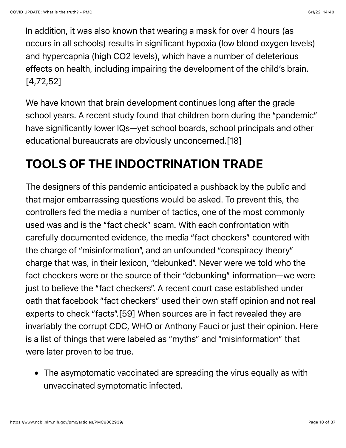In addition, it was also known that wearing a mask for over 4 hours (as occurs in all schools) results in significant hypoxia (low blood oxygen levels) and hypercapnia (high CO2 levels), which have a number of deleterious effects on health, including impairing the development of the child's brain. [4,72,52]

We have known that brain development continues long after the grade school years. A recent study found that children born during the "pandemic" have significantly lower IQs—yet school boards, school principals and other educational bureaucrats are obviously unconcerned.[18]

### TOOLS OF THE INDOCTRINATION TRADE

The designers of this pandemic anticipated a pushback by the public and that major embarrassing questions would be asked. To prevent this, the controllers fed the media a number of tactics, one of the most commonly used was and is the "fact check" scam. With each confrontation with carefully documented evidence, the media "fact checkers" countered with the charge of "misinformation", and an unfounded "conspiracy theory" charge that was, in their lexicon, "debunked". Never were we told who the fact checkers were or the source of their "debunking" information—we were just to believe the "fact checkers". A recent court case established under oath that facebook "fact checkers" used their own staff opinion and not real experts to check "facts".[59] When sources are in fact revealed they are invariably the corrupt CDC, WHO or Anthony Fauci or just their opinion. Here is a list of things that were labeled as "myths" and "misinformation" that were later proven to be true.

The asymptomatic vaccinated are spreading the virus equally as with unvaccinated symptomatic infected.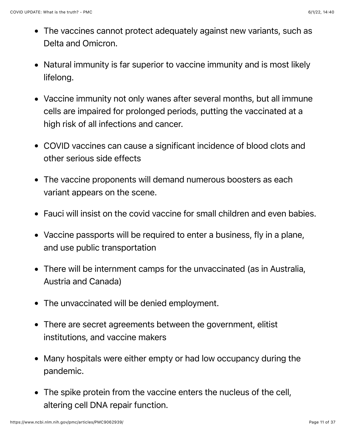- The vaccines cannot protect adequately against new variants, such as Delta and Omicron.
- Natural immunity is far superior to vaccine immunity and is most likely lifelong.
- Vaccine immunity not only wanes after several months, but all immune cells are impaired for prolonged periods, putting the vaccinated at a high risk of all infections and cancer.
- COVID vaccines can cause a significant incidence of blood clots and other serious side effects
- The vaccine proponents will demand numerous boosters as each variant appears on the scene.
- Fauci will insist on the covid vaccine for small children and even babies.
- Vaccine passports will be required to enter a business, fly in a plane, and use public transportation
- There will be internment camps for the unvaccinated (as in Australia, Austria and Canada)
- The unvaccinated will be denied employment.
- There are secret agreements between the government, elitist institutions, and vaccine makers
- Many hospitals were either empty or had low occupancy during the pandemic.
- The spike protein from the vaccine enters the nucleus of the cell, altering cell DNA repair function.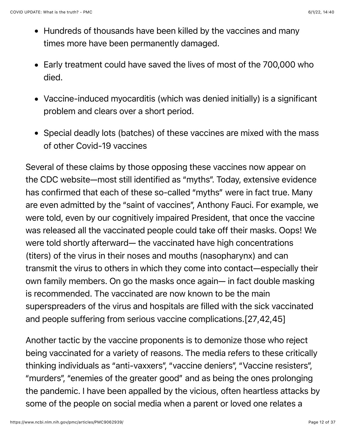- Hundreds of thousands have been killed by the vaccines and many times more have been permanently damaged.
- Early treatment could have saved the lives of most of the 700,000 who died.
- Vaccine-induced myocarditis (which was denied initially) is a significant problem and clears over a short period.
- Special deadly lots (batches) of these vaccines are mixed with the mass of other Covid-19 vaccines

Several of these claims by those opposing these vaccines now appear on the CDC website—most still identified as "myths". Today, extensive evidence has confirmed that each of these so-called "myths" were in fact true. Many are even admitted by the "saint of vaccines", Anthony Fauci. For example, we were told, even by our cognitively impaired President, that once the vaccine was released all the vaccinated people could take off their masks. Oops! We were told shortly afterward— the vaccinated have high concentrations (titers) of the virus in their noses and mouths (nasopharynx) and can transmit the virus to others in which they come into contact—especially their own family members. On go the masks once again— in fact double masking is recommended. The vaccinated are now known to be the main superspreaders of the virus and hospitals are filled with the sick vaccinated and people suffering from serious vaccine complications.[27,42,45]

Another tactic by the vaccine proponents is to demonize those who reject being vaccinated for a variety of reasons. The media refers to these critically thinking individuals as "anti-vaxxers", "vaccine deniers", "Vaccine resisters", "murders", "enemies of the greater good" and as being the ones prolonging the pandemic. I have been appalled by the vicious, often heartless attacks by some of the people on social media when a parent or loved one relates a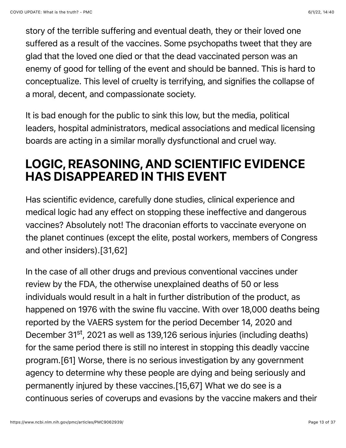story of the terrible suffering and eventual death, they or their loved one suffered as a result of the vaccines. Some psychopaths tweet that they are glad that the loved one died or that the dead vaccinated person was an enemy of good for telling of the event and should be banned. This is hard to conceptualize. This level of cruelty is terrifying, and signifies the collapse of a moral, decent, and compassionate society.

It is bad enough for the public to sink this low, but the media, political leaders, hospital administrators, medical associations and medical licensing boards are acting in a similar morally dysfunctional and cruel way.

#### LOGIC, REASONING, AND SCIENTIFIC EVIDENCE HAS DISAPPEARED IN THIS EVENT

Has scientific evidence, carefully done studies, clinical experience and medical logic had any effect on stopping these ineffective and dangerous vaccines? Absolutely not! The draconian efforts to vaccinate everyone on the planet continues (except the elite, postal workers, members of Congress and other insiders).[31,62]

In the case of all other drugs and previous conventional vaccines under review by the FDA, the otherwise unexplained deaths of 50 or less individuals would result in a halt in further distribution of the product, as happened on 1976 with the swine flu vaccine. With over 18,000 deaths being reported by the VAERS system for the period December 14, 2020 and December 31<sup>st</sup>, 2021 as well as 139,126 serious injuries (including deaths) for the same period there is still no interest in stopping this deadly vaccine program.[61] Worse, there is no serious investigation by any government agency to determine why these people are dying and being seriously and permanently injured by these vaccines.[15,67] What we do see is a continuous series of coverups and evasions by the vaccine makers and their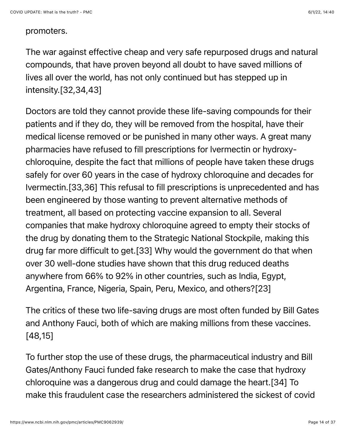#### promoters.

The war against effective cheap and very safe repurposed drugs and natural compounds, that have proven beyond all doubt to have saved millions of lives all over the world, has not only continued but has stepped up in intensity.[32,34,43]

Doctors are told they cannot provide these life-saving compounds for their patients and if they do, they will be removed from the hospital, have their medical license removed or be punished in many other ways. A great many pharmacies have refused to fill prescriptions for lvermectin or hydroxychloroquine, despite the fact that millions of people have taken these drugs safely for over 60 years in the case of hydroxy chloroquine and decades for Ivermectin.[33,36] This refusal to fill prescriptions is unprecedented and has been engineered by those wanting to prevent alternative methods of treatment, all based on protecting vaccine expansion to all. Several companies that make hydroxy chloroquine agreed to empty their stocks of the drug by donating them to the Strategic National Stockpile, making this drug far more difficult to get.[33] Why would the government do that when over 30 well-done studies have shown that this drug reduced deaths anywhere from 66% to 92% in other countries, such as India, Egypt, Argentina, France, Nigeria, Spain, Peru, Mexico, and others?[23]

The critics of these two life-saving drugs are most often funded by Bill Gates and Anthony Fauci, both of which are making millions from these vaccines. [48,15]

To further stop the use of these drugs, the pharmaceutical industry and Bill Gates/Anthony Fauci funded fake research to make the case that hydroxy chloroquine was a dangerous drug and could damage the heart.[34] To make this fraudulent case the researchers administered the sickest of covid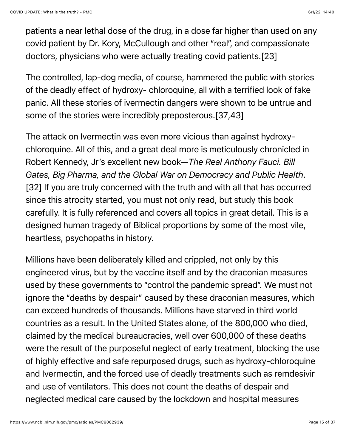patients a near lethal dose of the drug, in a dose far higher than used on any covid patient by Dr. Kory, McCullough and other "real", and compassionate doctors, physicians who were actually treating covid patients.[23]

The controlled, lap-dog media, of course, hammered the public with stories of the deadly effect of hydroxy- chloroquine, all with a terrified look of fake panic. All these stories of ivermectin dangers were shown to be untrue and some of the stories were incredibly preposterous.[37,43]

The attack on Ivermectin was even more vicious than against hydroxychloroquine. All of this, and a great deal more is meticulously chronicled in Robert Kennedy, Jr's excellent new book—*The Real Anthony Fauci. Bill Gates, Big Pharma, and the Global War on Democracy and Public Health*. [32] If you are truly concerned with the truth and with all that has occurred since this atrocity started, you must not only read, but study this book carefully. It is fully referenced and covers all topics in great detail. This is a designed human tragedy of Biblical proportions by some of the most vile, heartless, psychopaths in history.

Millions have been deliberately killed and crippled, not only by this engineered virus, but by the vaccine itself and by the draconian measures used by these governments to "control the pandemic spread". We must not ignore the "deaths by despair" caused by these draconian measures, which can exceed hundreds of thousands. Millions have starved in third world countries as a result. In the United States alone, of the 800,000 who died, claimed by the medical bureaucracies, well over 600,000 of these deaths were the result of the purposeful neglect of early treatment, blocking the use of highly effective and safe repurposed drugs, such as hydroxy-chloroquine and Ivermectin, and the forced use of deadly treatments such as remdesivir and use of ventilators. This does not count the deaths of despair and neglected medical care caused by the lockdown and hospital measures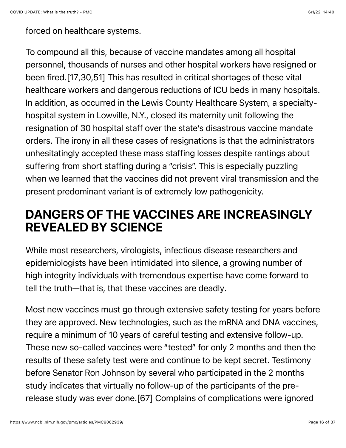forced on healthcare systems.

To compound all this, because of vaccine mandates among all hospital personnel, thousands of nurses and other hospital workers have resigned or been fired.[17,30,51] This has resulted in critical shortages of these vital healthcare workers and dangerous reductions of ICU beds in many hospitals. In addition, as occurred in the Lewis County Healthcare System, a specialtyhospital system in Lowville, N.Y., closed its maternity unit following the resignation of 30 hospital staff over the state's disastrous vaccine mandate orders. The irony in all these cases of resignations is that the administrators unhesitatingly accepted these mass staffing losses despite rantings about suffering from short staffing during a "crisis". This is especially puzzling when we learned that the vaccines did not prevent viral transmission and the present predominant variant is of extremely low pathogenicity.

#### DANGERS OF THE VACCINES ARE INCREASINGLY REVEALED BY SCIENCE

While most researchers, virologists, infectious disease researchers and epidemiologists have been intimidated into silence, a growing number of high integrity individuals with tremendous expertise have come forward to tell the truth—that is, that these vaccines are deadly.

Most new vaccines must go through extensive safety testing for years before they are approved. New technologies, such as the mRNA and DNA vaccines, require a minimum of 10 years of careful testing and extensive follow-up. These new so-called vaccines were "tested" for only 2 months and then the results of these safety test were and continue to be kept secret. Testimony before Senator Ron Johnson by several who participated in the 2 months study indicates that virtually no follow-up of the participants of the prerelease study was ever done.[67] Complains of complications were ignored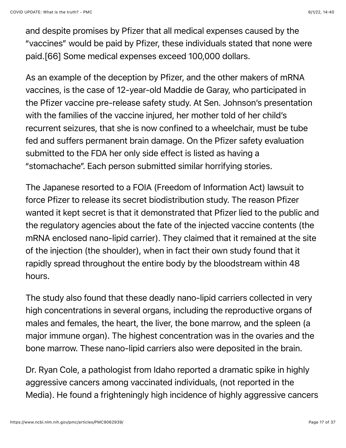and despite promises by Pfizer that all medical expenses caused by the "vaccines" would be paid by Pfizer, these individuals stated that none were paid.[66] Some medical expenses exceed 100,000 dollars.

As an example of the deception by Pfizer, and the other makers of mRNA vaccines, is the case of 12-year-old Maddie de Garay, who participated in the Pfizer vaccine pre-release safety study. At Sen. Johnson's presentation with the families of the vaccine injured, her mother told of her child's recurrent seizures, that she is now confined to a wheelchair, must be tube fed and suffers permanent brain damage. On the Pfizer safety evaluation submitted to the FDA her only side effect is listed as having a "stomachache". Each person submitted similar horrifying stories.

The Japanese resorted to a FOIA (Freedom of Information Act) lawsuit to force Pfizer to release its secret biodistribution study. The reason Pfizer wanted it kept secret is that it demonstrated that Pfizer lied to the public and the regulatory agencies about the fate of the injected vaccine contents (the mRNA enclosed nano-lipid carrier). They claimed that it remained at the site of the injection (the shoulder), when in fact their own study found that it rapidly spread throughout the entire body by the bloodstream within 48 hours.

The study also found that these deadly nano-lipid carriers collected in very high concentrations in several organs, including the reproductive organs of males and females, the heart, the liver, the bone marrow, and the spleen (a major immune organ). The highest concentration was in the ovaries and the bone marrow. These nano-lipid carriers also were deposited in the brain.

Dr. Ryan Cole, a pathologist from Idaho reported a dramatic spike in highly aggressive cancers among vaccinated individuals, (not reported in the Media). He found a frighteningly high incidence of highly aggressive cancers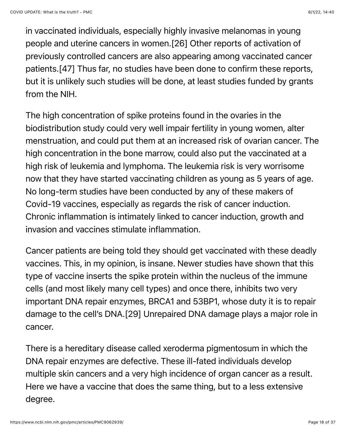in vaccinated individuals, especially highly invasive melanomas in young people and uterine cancers in women.[26] Other reports of activation of previously controlled cancers are also appearing among vaccinated cancer patients.[47] Thus far, no studies have been done to confirm these reports, but it is unlikely such studies will be done, at least studies funded by grants from the NIH.

The high concentration of spike proteins found in the ovaries in the biodistribution study could very well impair fertility in young women, alter menstruation, and could put them at an increased risk of ovarian cancer. The high concentration in the bone marrow, could also put the vaccinated at a high risk of leukemia and lymphoma. The leukemia risk is very worrisome now that they have started vaccinating children as young as 5 years of age. No long-term studies have been conducted by any of these makers of Covid-19 vaccines, especially as regards the risk of cancer induction. Chronic inflammation is intimately linked to cancer induction, growth and invasion and vaccines stimulate inflammation.

Cancer patients are being told they should get vaccinated with these deadly vaccines. This, in my opinion, is insane. Newer studies have shown that this type of vaccine inserts the spike protein within the nucleus of the immune cells (and most likely many cell types) and once there, inhibits two very important DNA repair enzymes, BRCA1 and 53BP1, whose duty it is to repair damage to the cell's DNA.[29] Unrepaired DNA damage plays a major role in cancer.

There is a hereditary disease called xeroderma pigmentosum in which the DNA repair enzymes are defective. These ill-fated individuals develop multiple skin cancers and a very high incidence of organ cancer as a result. Here we have a vaccine that does the same thing, but to a less extensive degree.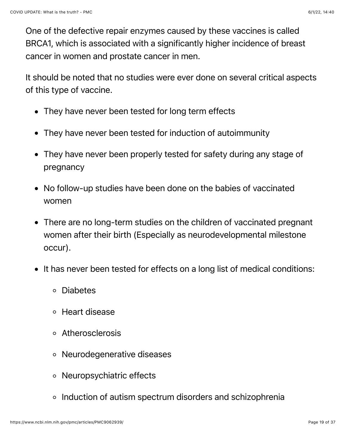One of the defective repair enzymes caused by these vaccines is called BRCA1, which is associated with a significantly higher incidence of breast cancer in women and prostate cancer in men.

It should be noted that no studies were ever done on several critical aspects of this type of vaccine.

- They have never been tested for long term effects
- They have never been tested for induction of autoimmunity
- They have never been properly tested for safety during any stage of pregnancy
- No follow-up studies have been done on the babies of vaccinated women
- There are no long-term studies on the children of vaccinated pregnant women after their birth (Especially as neurodevelopmental milestone occur).
- It has never been tested for effects on a long list of medical conditions:
	- Diabetes
	- Heart disease
	- Atherosclerosis
	- Neurodegenerative diseases
	- Neuropsychiatric effects
	- o Induction of autism spectrum disorders and schizophrenia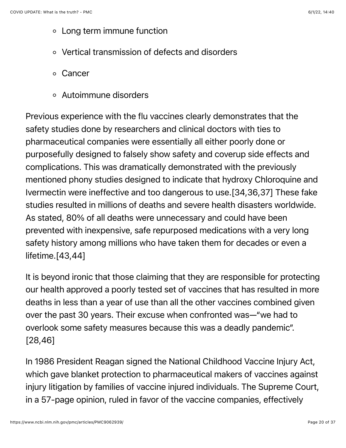- Long term immune function
- Vertical transmission of defects and disorders
- Cancer
- Autoimmune disorders

Previous experience with the flu vaccines clearly demonstrates that the safety studies done by researchers and clinical doctors with ties to pharmaceutical companies were essentially all either poorly done or purposefully designed to falsely show safety and coverup side effects and complications. This was dramatically demonstrated with the previously mentioned phony studies designed to indicate that hydroxy Chloroquine and Ivermectin were ineffective and too dangerous to use.[34,36,37] These fake studies resulted in millions of deaths and severe health disasters worldwide. As stated, 80% of all deaths were unnecessary and could have been prevented with inexpensive, safe repurposed medications with a very long safety history among millions who have taken them for decades or even a lifetime.[43,44]

It is beyond ironic that those claiming that they are responsible for protecting our health approved a poorly tested set of vaccines that has resulted in more deaths in less than a year of use than all the other vaccines combined given over the past 30 years. Their excuse when confronted was—"we had to overlook some safety measures because this was a deadly pandemic". [28,46]

In 1986 President Reagan signed the National Childhood Vaccine Injury Act, which gave blanket protection to pharmaceutical makers of vaccines against injury litigation by families of vaccine injured individuals. The Supreme Court, in a 57-page opinion, ruled in favor of the vaccine companies, effectively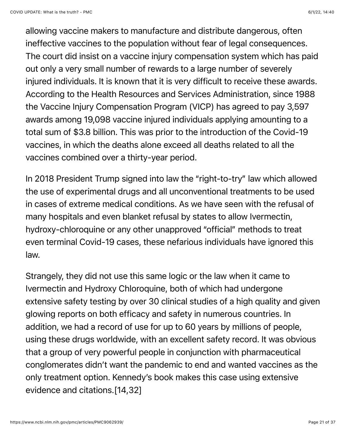allowing vaccine makers to manufacture and distribute dangerous, often ineffective vaccines to the population without fear of legal consequences. The court did insist on a vaccine injury compensation system which has paid out only a very small number of rewards to a large number of severely injured individuals. It is known that it is very difficult to receive these awards. According to the Health Resources and Services Administration, since 1988 the Vaccine Injury Compensation Program (VICP) has agreed to pay 3,597 awards among 19,098 vaccine injured individuals applying amounting to a total sum of \$3.8 billion. This was prior to the introduction of the Covid-19 vaccines, in which the deaths alone exceed all deaths related to all the vaccines combined over a thirty-year period.

In 2018 President Trump signed into law the "right-to-try" law which allowed the use of experimental drugs and all unconventional treatments to be used in cases of extreme medical conditions. As we have seen with the refusal of many hospitals and even blanket refusal by states to allow Ivermectin, hydroxy-chloroquine or any other unapproved "official" methods to treat even terminal Covid-19 cases, these nefarious individuals have ignored this law.

Strangely, they did not use this same logic or the law when it came to Ivermectin and Hydroxy Chloroquine, both of which had undergone extensive safety testing by over 30 clinical studies of a high quality and given glowing reports on both efficacy and safety in numerous countries. In addition, we had a record of use for up to 60 years by millions of people, using these drugs worldwide, with an excellent safety record. It was obvious that a group of very powerful people in conjunction with pharmaceutical conglomerates didn't want the pandemic to end and wanted vaccines as the only treatment option. Kennedy's book makes this case using extensive evidence and citations.[14,32]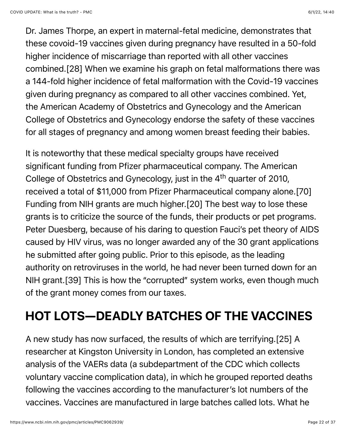Dr. James Thorpe, an expert in maternal-fetal medicine, demonstrates that these covoid-19 vaccines given during pregnancy have resulted in a 50-fold higher incidence of miscarriage than reported with all other vaccines combined.[28] When we examine his graph on fetal malformations there was a 144-fold higher incidence of fetal malformation with the Covid-19 vaccines given during pregnancy as compared to all other vaccines combined. Yet, the American Academy of Obstetrics and Gynecology and the American College of Obstetrics and Gynecology endorse the safety of these vaccines for all stages of pregnancy and among women breast feeding their babies.

It is noteworthy that these medical specialty groups have received significant funding from Pfizer pharmaceutical company. The American College of Obstetrics and Gynecology, just in the 4<sup>th</sup> quarter of 2010, received a total of \$11,000 from Pfizer Pharmaceutical company alone.[70] Funding from NIH grants are much higher.[20] The best way to lose these grants is to criticize the source of the funds, their products or pet programs. Peter Duesberg, because of his daring to question Fauci's pet theory of AIDS caused by HIV virus, was no longer awarded any of the 30 grant applications he submitted after going public. Prior to this episode, as the leading authority on retroviruses in the world, he had never been turned down for an NIH grant.[39] This is how the "corrupted" system works, even though much of the grant money comes from our taxes.

# HOT LOTS—DEADLY BATCHES OF THE VACCINES

A new study has now surfaced, the results of which are terrifying.[25] A researcher at Kingston University in London, has completed an extensive analysis of the VAERs data (a subdepartment of the CDC which collects voluntary vaccine complication data), in which he grouped reported deaths following the vaccines according to the manufacturer's lot numbers of the vaccines. Vaccines are manufactured in large batches called lots. What he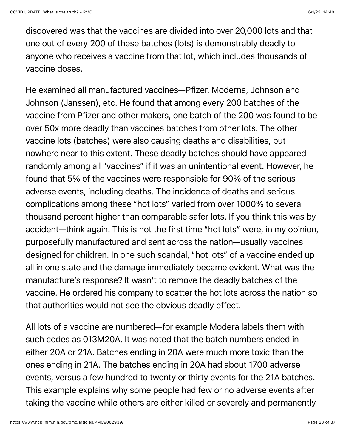discovered was that the vaccines are divided into over 20,000 lots and that one out of every 200 of these batches (lots) is demonstrably deadly to anyone who receives a vaccine from that lot, which includes thousands of vaccine doses.

He examined all manufactured vaccines—Pfizer, Moderna, Johnson and Johnson (Janssen), etc. He found that among every 200 batches of the vaccine from Pfizer and other makers, one batch of the 200 was found to be over 50x more deadly than vaccines batches from other lots. The other vaccine lots (batches) were also causing deaths and disabilities, but nowhere near to this extent. These deadly batches should have appeared randomly among all "vaccines" if it was an unintentional event. However, he found that 5% of the vaccines were responsible for 90% of the serious adverse events, including deaths. The incidence of deaths and serious complications among these "hot lots" varied from over 1000% to several thousand percent higher than comparable safer lots. If you think this was by accident—think again. This is not the first time "hot lots" were, in my opinion, purposefully manufactured and sent across the nation—usually vaccines designed for children. In one such scandal, "hot lots" of a vaccine ended up all in one state and the damage immediately became evident. What was the manufacture's response? It wasn't to remove the deadly batches of the vaccine. He ordered his company to scatter the hot lots across the nation so that authorities would not see the obvious deadly effect.

All lots of a vaccine are numbered—for example Modera labels them with such codes as 013M20A. It was noted that the batch numbers ended in either 20A or 21A. Batches ending in 20A were much more toxic than the ones ending in 21A. The batches ending in 20A had about 1700 adverse events, versus a few hundred to twenty or thirty events for the 21A batches. This example explains why some people had few or no adverse events after taking the vaccine while others are either killed or severely and permanently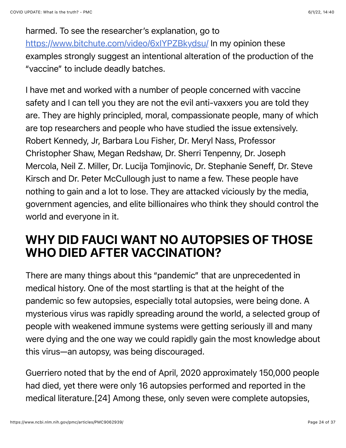harmed. To see the researcher's explanation, go to <https://www.bitchute.com/video/6xIYPZBkydsu/>In my opinion these examples strongly suggest an intentional alteration of the production of the "vaccine" to include deadly batches.

I have met and worked with a number of people concerned with vaccine safety and I can tell you they are not the evil anti-vaxxers you are told they are. They are highly principled, moral, compassionate people, many of which are top researchers and people who have studied the issue extensively. Robert Kennedy, Jr, Barbara Lou Fisher, Dr. Meryl Nass, Professor Christopher Shaw, Megan Redshaw, Dr. Sherri Tenpenny, Dr. Joseph Mercola, Neil Z. Miller, Dr. Lucija Tomjinovic, Dr. Stephanie Seneff, Dr. Steve Kirsch and Dr. Peter McCullough just to name a few. These people have nothing to gain and a lot to lose. They are attacked viciously by the media, government agencies, and elite billionaires who think they should control the world and everyone in it.

#### WHY DID FAUCI WANT NO AUTOPSIES OF THOSE WHO DIED AFTER VACCINATION?

There are many things about this "pandemic" that are unprecedented in medical history. One of the most startling is that at the height of the pandemic so few autopsies, especially total autopsies, were being done. A mysterious virus was rapidly spreading around the world, a selected group of people with weakened immune systems were getting seriously ill and many were dying and the one way we could rapidly gain the most knowledge about this virus—an autopsy, was being discouraged.

Guerriero noted that by the end of April, 2020 approximately 150,000 people had died, yet there were only 16 autopsies performed and reported in the medical literature.[24] Among these, only seven were complete autopsies,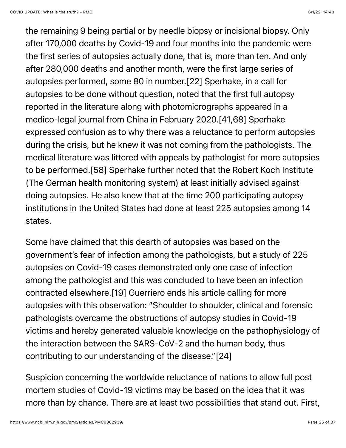the remaining 9 being partial or by needle biopsy or incisional biopsy. Only after 170,000 deaths by Covid-19 and four months into the pandemic were the first series of autopsies actually done, that is, more than ten. And only after 280,000 deaths and another month, were the first large series of autopsies performed, some 80 in number.[22] Sperhake, in a call for autopsies to be done without question, noted that the first full autopsy reported in the literature along with photomicrographs appeared in a medico-legal journal from China in February 2020.[41,68] Sperhake expressed confusion as to why there was a reluctance to perform autopsies during the crisis, but he knew it was not coming from the pathologists. The medical literature was littered with appeals by pathologist for more autopsies to be performed.[58] Sperhake further noted that the Robert Koch Institute (The German health monitoring system) at least initially advised against doing autopsies. He also knew that at the time 200 participating autopsy institutions in the United States had done at least 225 autopsies among 14 states.

Some have claimed that this dearth of autopsies was based on the government's fear of infection among the pathologists, but a study of 225 autopsies on Covid-19 cases demonstrated only one case of infection among the pathologist and this was concluded to have been an infection contracted elsewhere.[19] Guerriero ends his article calling for more autopsies with this observation: "Shoulder to shoulder, clinical and forensic pathologists overcame the obstructions of autopsy studies in Covid-19 victims and hereby generated valuable knowledge on the pathophysiology of the interaction between the SARS-CoV-2 and the human body, thus contributing to our understanding of the disease."[24]

Suspicion concerning the worldwide reluctance of nations to allow full post mortem studies of Covid-19 victims may be based on the idea that it was more than by chance. There are at least two possibilities that stand out. First,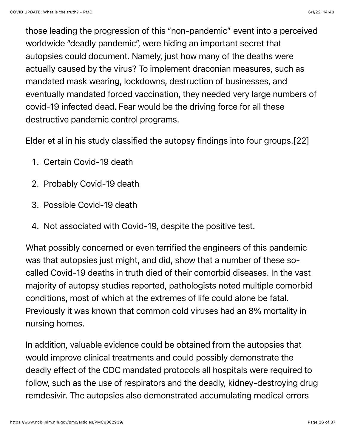those leading the progression of this "non-pandemic" event into a perceived worldwide "deadly pandemic", were hiding an important secret that autopsies could document. Namely, just how many of the deaths were actually caused by the virus? To implement draconian measures, such as mandated mask wearing, lockdowns, destruction of businesses, and eventually mandated forced vaccination, they needed very large numbers of covid-19 infected dead. Fear would be the driving force for all these destructive pandemic control programs.

Elder et al in his study classified the autopsy findings into four groups.[22]

- 1. Certain Covid-19 death
- 2. Probably Covid-19 death
- 3. Possible Covid-19 death
- 4. Not associated with Covid-19, despite the positive test.

What possibly concerned or even terrified the engineers of this pandemic was that autopsies just might, and did, show that a number of these socalled Covid-19 deaths in truth died of their comorbid diseases. In the vast majority of autopsy studies reported, pathologists noted multiple comorbid conditions, most of which at the extremes of life could alone be fatal. Previously it was known that common cold viruses had an 8% mortality in nursing homes.

In addition, valuable evidence could be obtained from the autopsies that would improve clinical treatments and could possibly demonstrate the deadly effect of the CDC mandated protocols all hospitals were required to follow, such as the use of respirators and the deadly, kidney-destroying drug remdesivir. The autopsies also demonstrated accumulating medical errors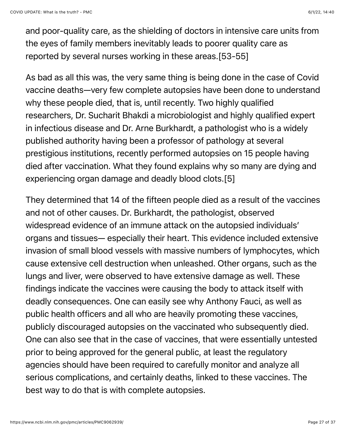and poor-quality care, as the shielding of doctors in intensive care units from the eyes of family members inevitably leads to poorer quality care as reported by several nurses working in these areas.[53-55]

As bad as all this was, the very same thing is being done in the case of Covid vaccine deaths—very few complete autopsies have been done to understand why these people died, that is, until recently. Two highly qualified researchers, Dr. Sucharit Bhakdi a microbiologist and highly qualified expert in infectious disease and Dr. Arne Burkhardt, a pathologist who is a widely published authority having been a professor of pathology at several prestigious institutions, recently performed autopsies on 15 people having died after vaccination. What they found explains why so many are dying and experiencing organ damage and deadly blood clots.[5]

They determined that 14 of the fifteen people died as a result of the vaccines and not of other causes. Dr. Burkhardt, the pathologist, observed widespread evidence of an immune attack on the autopsied individuals' organs and tissues— especially their heart. This evidence included extensive invasion of small blood vessels with massive numbers of lymphocytes, which cause extensive cell destruction when unleashed. Other organs, such as the lungs and liver, were observed to have extensive damage as well. These findings indicate the vaccines were causing the body to attack itself with deadly consequences. One can easily see why Anthony Fauci, as well as public health officers and all who are heavily promoting these vaccines, publicly discouraged autopsies on the vaccinated who subsequently died. One can also see that in the case of vaccines, that were essentially untested prior to being approved for the general public, at least the regulatory agencies should have been required to carefully monitor and analyze all serious complications, and certainly deaths, linked to these vaccines. The best way to do that is with complete autopsies.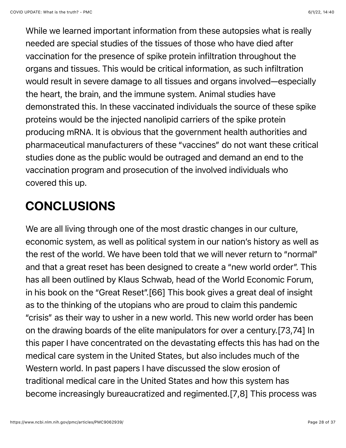While we learned important information from these autopsies what is really needed are special studies of the tissues of those who have died after vaccination for the presence of spike protein infiltration throughout the organs and tissues. This would be critical information, as such infiltration would result in severe damage to all tissues and organs involved—especially the heart, the brain, and the immune system. Animal studies have demonstrated this. In these vaccinated individuals the source of these spike proteins would be the injected nanolipid carriers of the spike protein producing mRNA. It is obvious that the government health authorities and pharmaceutical manufacturers of these "vaccines" do not want these critical studies done as the public would be outraged and demand an end to the vaccination program and prosecution of the involved individuals who covered this up.

### CONCLUSIONS

We are all living through one of the most drastic changes in our culture, economic system, as well as political system in our nation's history as well as the rest of the world. We have been told that we will never return to "normal" and that a great reset has been designed to create a "new world order". This has all been outlined by Klaus Schwab, head of the World Economic Forum, in his book on the "Great Reset".[66] This book gives a great deal of insight as to the thinking of the utopians who are proud to claim this pandemic "crisis" as their way to usher in a new world. This new world order has been on the drawing boards of the elite manipulators for over a century.[73,74] In this paper I have concentrated on the devastating effects this has had on the medical care system in the United States, but also includes much of the Western world. In past papers I have discussed the slow erosion of traditional medical care in the United States and how this system has become increasingly bureaucratized and regimented.[7,8] This process was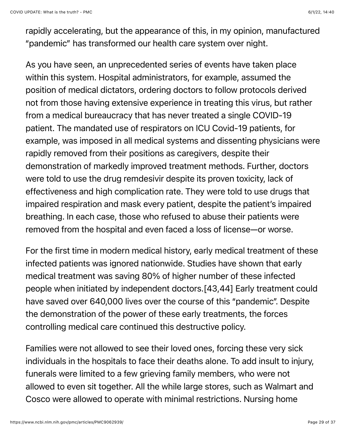rapidly accelerating, but the appearance of this, in my opinion, manufactured "pandemic" has transformed our health care system over night.

As you have seen, an unprecedented series of events have taken place within this system. Hospital administrators, for example, assumed the position of medical dictators, ordering doctors to follow protocols derived not from those having extensive experience in treating this virus, but rather from a medical bureaucracy that has never treated a single COVID-19 patient. The mandated use of respirators on ICU Covid-19 patients, for example, was imposed in all medical systems and dissenting physicians were rapidly removed from their positions as caregivers, despite their demonstration of markedly improved treatment methods. Further, doctors were told to use the drug remdesivir despite its proven toxicity, lack of effectiveness and high complication rate. They were told to use drugs that impaired respiration and mask every patient, despite the patient's impaired breathing. In each case, those who refused to abuse their patients were removed from the hospital and even faced a loss of license—or worse.

For the first time in modern medical history, early medical treatment of these infected patients was ignored nationwide. Studies have shown that early medical treatment was saving 80% of higher number of these infected people when initiated by independent doctors.[43,44] Early treatment could have saved over 640,000 lives over the course of this "pandemic". Despite the demonstration of the power of these early treatments, the forces controlling medical care continued this destructive policy.

Families were not allowed to see their loved ones, forcing these very sick individuals in the hospitals to face their deaths alone. To add insult to injury, funerals were limited to a few grieving family members, who were not allowed to even sit together. All the while large stores, such as Walmart and Cosco were allowed to operate with minimal restrictions. Nursing home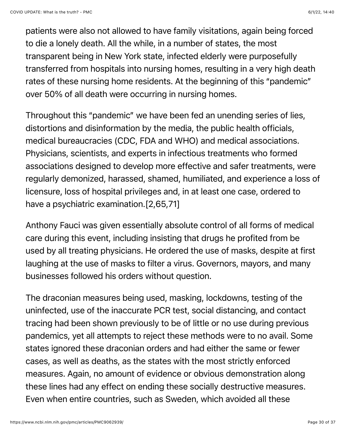patients were also not allowed to have family visitations, again being forced to die a lonely death. All the while, in a number of states, the most transparent being in New York state, infected elderly were purposefully transferred from hospitals into nursing homes, resulting in a very high death rates of these nursing home residents. At the beginning of this "pandemic" over 50% of all death were occurring in nursing homes.

Throughout this "pandemic" we have been fed an unending series of lies, distortions and disinformation by the media, the public health officials, medical bureaucracies (CDC, FDA and WHO) and medical associations. Physicians, scientists, and experts in infectious treatments who formed associations designed to develop more effective and safer treatments, were regularly demonized, harassed, shamed, humiliated, and experience a loss of licensure, loss of hospital privileges and, in at least one case, ordered to have a psychiatric examination.[2,65,71]

Anthony Fauci was given essentially absolute control of all forms of medical care during this event, including insisting that drugs he profited from be used by all treating physicians. He ordered the use of masks, despite at first laughing at the use of masks to filter a virus. Governors, mayors, and many businesses followed his orders without question.

The draconian measures being used, masking, lockdowns, testing of the uninfected, use of the inaccurate PCR test, social distancing, and contact tracing had been shown previously to be of little or no use during previous pandemics, yet all attempts to reject these methods were to no avail. Some states ignored these draconian orders and had either the same or fewer cases, as well as deaths, as the states with the most strictly enforced measures. Again, no amount of evidence or obvious demonstration along these lines had any effect on ending these socially destructive measures. Even when entire countries, such as Sweden, which avoided all these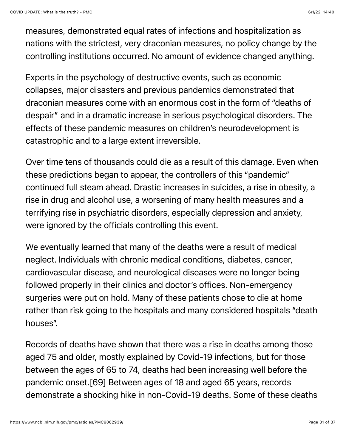measures, demonstrated equal rates of infections and hospitalization as nations with the strictest, very draconian measures, no policy change by the controlling institutions occurred. No amount of evidence changed anything.

Experts in the psychology of destructive events, such as economic collapses, major disasters and previous pandemics demonstrated that draconian measures come with an enormous cost in the form of "deaths of despair" and in a dramatic increase in serious psychological disorders. The effects of these pandemic measures on children's neurodevelopment is catastrophic and to a large extent irreversible.

Over time tens of thousands could die as a result of this damage. Even when these predictions began to appear, the controllers of this "pandemic" continued full steam ahead. Drastic increases in suicides, a rise in obesity, a rise in drug and alcohol use, a worsening of many health measures and a terrifying rise in psychiatric disorders, especially depression and anxiety, were ignored by the officials controlling this event.

We eventually learned that many of the deaths were a result of medical neglect. Individuals with chronic medical conditions, diabetes, cancer, cardiovascular disease, and neurological diseases were no longer being followed properly in their clinics and doctor's offices. Non-emergency surgeries were put on hold. Many of these patients chose to die at home rather than risk going to the hospitals and many considered hospitals "death houses".

Records of deaths have shown that there was a rise in deaths among those aged 75 and older, mostly explained by Covid-19 infections, but for those between the ages of 65 to 74, deaths had been increasing well before the pandemic onset.[69] Between ages of 18 and aged 65 years, records demonstrate a shocking hike in non-Covid-19 deaths. Some of these deaths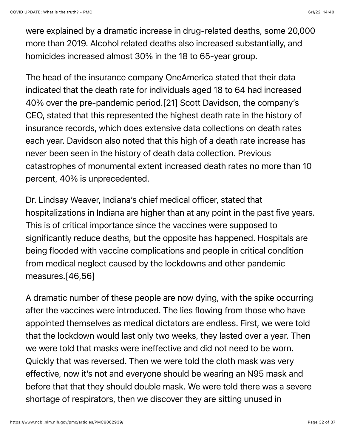were explained by a dramatic increase in drug-related deaths, some 20,000 more than 2019. Alcohol related deaths also increased substantially, and homicides increased almost 30% in the 18 to 65-year group.

The head of the insurance company OneAmerica stated that their data indicated that the death rate for individuals aged 18 to 64 had increased 40% over the pre-pandemic period.[21] Scott Davidson, the company's CEO, stated that this represented the highest death rate in the history of insurance records, which does extensive data collections on death rates each year. Davidson also noted that this high of a death rate increase has never been seen in the history of death data collection. Previous catastrophes of monumental extent increased death rates no more than 10 percent, 40% is unprecedented.

Dr. Lindsay Weaver, Indiana's chief medical officer, stated that hospitalizations in Indiana are higher than at any point in the past five years. This is of critical importance since the vaccines were supposed to significantly reduce deaths, but the opposite has happened. Hospitals are being flooded with vaccine complications and people in critical condition from medical neglect caused by the lockdowns and other pandemic measures.[46,56]

A dramatic number of these people are now dying, with the spike occurring after the vaccines were introduced. The lies flowing from those who have appointed themselves as medical dictators are endless. First, we were told that the lockdown would last only two weeks, they lasted over a year. Then we were told that masks were ineffective and did not need to be worn. Quickly that was reversed. Then we were told the cloth mask was very effective, now it's not and everyone should be wearing an N95 mask and before that that they should double mask. We were told there was a severe shortage of respirators, then we discover they are sitting unused in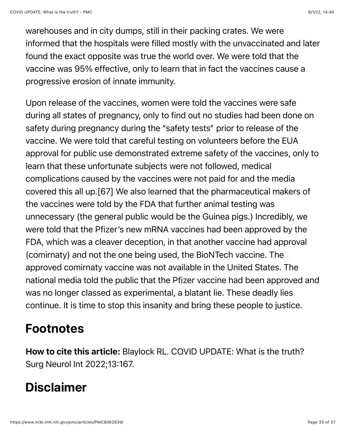warehouses and in city dumps, still in their packing crates. We were informed that the hospitals were filled mostly with the unvaccinated and later found the exact opposite was true the world over. We were told that the vaccine was 95% effective, only to learn that in fact the vaccines cause a progressive erosion of innate immunity.

Upon release of the vaccines, women were told the vaccines were safe during all states of pregnancy, only to find out no studies had been done on safety during pregnancy during the "safety tests" prior to release of the vaccine. We were told that careful testing on volunteers before the EUA approval for public use demonstrated extreme safety of the vaccines, only to learn that these unfortunate subjects were not followed, medical complications caused by the vaccines were not paid for and the media covered this all up.[67] We also learned that the pharmaceutical makers of the vaccines were told by the FDA that further animal testing was unnecessary (the general public would be the Guinea pigs.) Incredibly, we were told that the Pfizer's new mRNA vaccines had been approved by the FDA, which was a cleaver deception, in that another vaccine had approval (comirnaty) and not the one being used, the BioNTech vaccine. The approved comirnaty vaccine was not available in the United States. The national media told the public that the Pfizer vaccine had been approved and was no longer classed as experimental, a blatant lie. These deadly lies continue. It is time to stop this insanity and bring these people to justice.

#### Footnotes

How to cite this article: Blaylock RL. COVID UPDATE: What is the truth? Surg Neurol Int 2022;13:167.

#### Disclaimer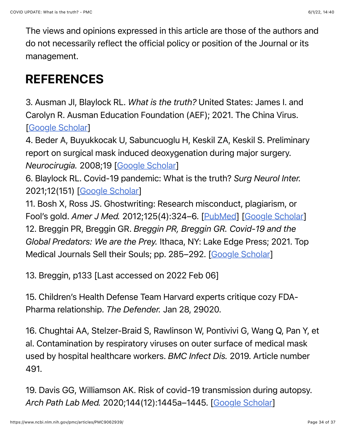The views and opinions expressed in this article are those of the authors and do not necessarily reflect the official policy or position of the Journal or its management.

### REFERENCES

3. Ausman JI, Blaylock RL. *What is the truth?* United States: James I. and Carolyn R. Ausman Education Foundation (AEF); 2021. The China Virus. [[Google Scholar\]](https://scholar.google.com/scholar_lookup?title=What+is+the+truth?&author=JI+Ausman&author=RL+Blaylock&publication_year=2021&)

4. Beder A, Buyukkocak U, Sabuncuoglu H, Keskil ZA, Keskil S. Preliminary report on surgical mask induced deoxygenation during major surgery. *Neurocirugia.* 2008;19 [\[Google Scholar](https://scholar.google.com/scholar_lookup?journal=Neurocirugia&title=Preliminary+report+on+surgical+mask+induced+deoxygenation+during+major+surgery&author=A+Beder&author=U+Buyukkocak&author=H+Sabuncuoglu&author=ZA+Keskil&author=S+Keskil&volume=19&publication_year=2008&)]

6. Blaylock RL. Covid-19 pandemic: What is the truth? *Surg Neurol Inter.* 2021;12(151) [\[Google Scholar](https://scholar.google.com/scholar_lookup?journal=Surg+Neurol+Inter&title=Covid-19+pandemic:+What+is+the+truth?&author=RL+Blaylock&volume=12&issue=151&publication_year=2021&)]

11. Bosh X, Ross JS. Ghostwriting: Research misconduct, plagiarism, or Fool's gold. *Amer J Med.* 2012;125(4):324–6. [\[PubMed](https://pubmed.ncbi.nlm.nih.gov/22305580)] [\[Google Scholar](https://scholar.google.com/scholar_lookup?journal=Amer+J+Med&title=Ghostwriting:+Research+misconduct,+plagiarism,+or+Fool%E2%80%99s+gold&author=X+Bosh&author=JS+Ross&volume=125&issue=4&publication_year=2012&pages=324-6&pmid=22305580&)] 12. Breggin PR, Breggin GR. *Breggin PR, Breggin GR. Covid-19 and the Global Predators: We are the Prey.* Ithaca, NY: Lake Edge Press; 2021. Top Medical Journals Sell their Souls; pp. 285–292. [\[Google Scholar](https://scholar.google.com/scholar_lookup?title=Breggin+PR,+Breggin+GR.+Covid-19+and+the+Global+Predators:+We+are+the+Prey&author=PR+Breggin&author=GR+Breggin&publication_year=2021&)]

13. Breggin, p133 [Last accessed on 2022 Feb 06]

15. Children's Health Defense Team Harvard experts critique cozy FDA-Pharma relationship. *The Defender.* Jan 28, 29020.

16. Chughtai AA, Stelzer-Braid S, Rawlinson W, Pontivivi G, Wang Q, Pan Y, et al. Contamination by respiratory viruses on outer surface of medical mask used by hospital healthcare workers. *BMC Infect Dis.* 2019. Article number 491.

19. Davis GG, Williamson AK. Risk of covid-19 transmission during autopsy. *Arch Path Lab Med.* 2020;144(12):1445a–1445. [[Google Scholar\]](https://scholar.google.com/scholar_lookup?journal=Arch+Path+Lab+Med&title=Risk+of+covid-19+transmission+during+autopsy&author=GG+Davis&author=AK+Williamson&volume=144&issue=12&publication_year=2020&pages=1445a-1445&)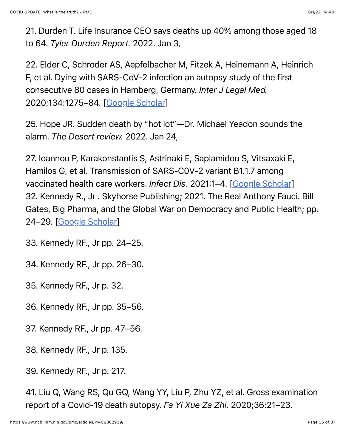21. Durden T. Life Insurance CEO says deaths up 40% among those aged 18 to 64. *Tyler Durden Report.* 2022. Jan 3,

22. Elder C, Schroder AS, Aepfelbacher M, Fitzek A, Heinemann A, Heinrich F, et al. Dying with SARS-CoV-2 infection an autopsy study of the first consecutive 80 cases in Hamberg, Germany. *Inter J Legal Med.* 2020;134:1275–84. [\[Google Scholar](https://scholar.google.com/scholar_lookup?journal=Inter+J+Legal+Med&title=Dying+with+SARS-CoV-2+infection+an+autopsy+study+of+the+first+consecutive+80+cases+in+Hamberg,+Germany&author=C+Elder&author=AS+Schroder&author=M+Aepfelbacher&author=A+Fitzek&author=A+Heinemann&volume=134&publication_year=2020&pages=1275-84&)]

25. Hope JR. Sudden death by "hot lot"—Dr. Michael Yeadon sounds the alarm. *The Desert review.* 2022. Jan 24,

27. Ioannou P, Karakonstantis S, Astrinaki E, Saplamidou S, Vitsaxaki E, Hamilos G, et al. Transmission of SARS-C0V-2 variant B1.1.7 among vaccinated health care workers. *Infect Dis.* 2021:1–4. [[Google Scholar\]](https://scholar.google.com/scholar_lookup?journal=Infect+Dis&title=Transmission+of+SARS-C0V-2+variant+B1.1.7+among+vaccinated+health+care+workers&author=P+Ioannou&author=S+Karakonstantis&author=E+Astrinaki&author=S+Saplamidou&author=E+Vitsaxaki&publication_year=2021&pages=1-4&) 32. Kennedy R., Jr . Skyhorse Publishing; 2021. The Real Anthony Fauci. Bill Gates, Big Pharma, and the Global War on Democracy and Public Health; pp. 24–29. [\[Google Scholar\]](https://scholar.google.com/scholar?q=Kennedy+R+Jr+The+Real+Anthony+Fauci.+Bill+Gates,+Big+Pharma,+and+the+Global+War+on+Democracy+and+Public+Health+2021+Skyhorse+Publishing+24+29+)

33. Kennedy RF., Jr pp. 24–25.

34. Kennedy RF., Jr pp. 26–30.

35. Kennedy RF., Jr p. 32.

36. Kennedy RF., Jr pp. 35–56.

37. Kennedy RF., Jr pp. 47–56.

38. Kennedy RF., Jr p. 135.

39. Kennedy RF., Jr p. 217.

41. Liu Q, Wang RS, Qu GQ, Wang YY, Liu P, Zhu YZ, et al. Gross examination report of a Covid-19 death autopsy. *Fa Yi Xue Za Zhi.* 2020;36:21–23.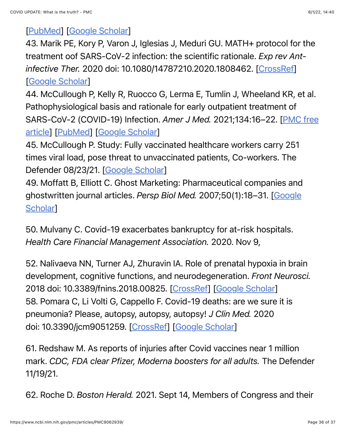#### [[PubMed\]](https://pubmed.ncbi.nlm.nih.gov/32198987) [\[Google Scholar\]](https://scholar.google.com/scholar_lookup?journal=Fa+Yi+Xue+Za+Zhi&title=Gross+examination+report+of+a+Covid-19+death+autopsy&author=Q+Liu&author=RS+Wang&author=GQ+Qu&author=YY+Wang&author=P+Liu&volume=36&publication_year=2020&pages=21-23&pmid=32198987&)

43. Marik PE, Kory P, Varon J, Iglesias J, Meduri GU. MATH+ protocol for the treatment oof SARS-CoV-2 infection: the scientific rationale. *Exp rev Antinfective Ther.* 2020 doi: 10.1080/14787210.2020.1808462. [\[CrossRef\]](https://doi.org/10.1080%2F14787210.2020.1808462) [[Google Scholar\]](https://scholar.google.com/scholar_lookup?journal=Exp+rev+Ant-infective+Ther&title=MATH++protocol+for+the+treatment+oof+SARS-CoV-2+infection:+the+scientific+rationale&author=PE+Marik&author=P+Kory&author=J+Varon&author=J+Iglesias&author=GU+Meduri&publication_year=2020&doi=10.1080/14787210.2020.1808462&)

44. McCullough P, Kelly R, Ruocco G, Lerma E, Tumlin J, Wheeland KR, et al. Pathophysiological basis and rationale for early outpatient treatment of [SARS-CoV-2 \(COVID-19\) Infection.](https://www.ncbi.nlm.nih.gov/pmc/articles/PMC7410805/) *Amer J Med.* 2021;134:16–22. [PMC free article] [\[PubMed\]](https://pubmed.ncbi.nlm.nih.gov/32771461) [\[Google Scholar\]](https://scholar.google.com/scholar_lookup?journal=Amer+J+Med&title=Pathophysiological+basis+and+rationale+for+early+outpatient+treatment+of+SARS-CoV-2+(COVID-19)+Infection&author=P+McCullough&author=R+Kelly&author=G+Ruocco&author=E+Lerma&author=J+Tumlin&volume=134&publication_year=2021&pages=16-22&pmid=32771461&)

45. McCullough P. Study: Fully vaccinated healthcare workers carry 251 times viral load, pose threat to unvaccinated patients, Co-workers. The Defender 08/23/21. [\[Google Scholar](https://scholar.google.com/scholar?q=McCullough+P+Study:+Fully+vaccinated+healthcare+workers+carry+251+times+viral+load,+pose+threat+to+unvaccinated+patients,+Co-workers+The+Defender+08/23/21+)]

49. Moffatt B, Elliott C. Ghost Marketing: Pharmaceutical companies and [ghostwritten journal articles.](https://scholar.google.com/scholar_lookup?journal=Persp+Biol+Med&title=Ghost+Marketing:+Pharmaceutical+companies+and+ghostwritten+journal+articles&author=B+Moffatt&author=C+Elliott&volume=50&issue=1&publication_year=2007&pages=18-31&) *Persp Biol Med.* 2007;50(1):18–31. [Google **Scholarl** 

50. Mulvany C. Covid-19 exacerbates bankruptcy for at-risk hospitals. *Health Care Financial Management Association.* 2020. Nov 9,

52. Nalivaeva NN, Turner AJ, Zhuravin IA. Role of prenatal hypoxia in brain development, cognitive functions, and neurodegeneration. *Front Neurosci.* 2018 doi: 10.3389/fnins.2018.00825. [[CrossRef\]](https://doi.org/10.3389%2Ffnins.2018.00825) [\[Google Scholar\]](https://scholar.google.com/scholar_lookup?journal=Front+Neurosci&title=Role+of+prenatal+hypoxia+in+brain+development,+cognitive+functions,+and+neurodegeneration&author=NN+Nalivaeva&author=AJ+Turner&author=IA+Zhuravin&publication_year=2018&doi=10.3389/fnins.2018.00825&) 58. Pomara C, Li Volti G, Cappello F. Covid-19 deaths: are we sure it is pneumonia? Please, autopsy, autopsy, autopsy! *J Clin Med.* 2020 doi: 10.3390/jcm9051259. [\[CrossRef\]](https://doi.org/10.3390%2Fjcm9051259) [\[Google Scholar](https://scholar.google.com/scholar_lookup?journal=J+Clin+Med&title=Covid-19+deaths:+are+we+sure+it+is+pneumonia?+Please,+autopsy,+autopsy,+autopsy!&author=C+Pomara&author=G+Li+Volti&author=F+Cappello&publication_year=2020&doi=10.3390/jcm9051259&)]

61. Redshaw M. As reports of injuries after Covid vaccines near 1 million mark. *CDC, FDA clear Pfizer, Moderna boosters for all adults.* The Defender 11/19/21.

62. Roche D. *Boston Herald.* 2021. Sept 14, Members of Congress and their